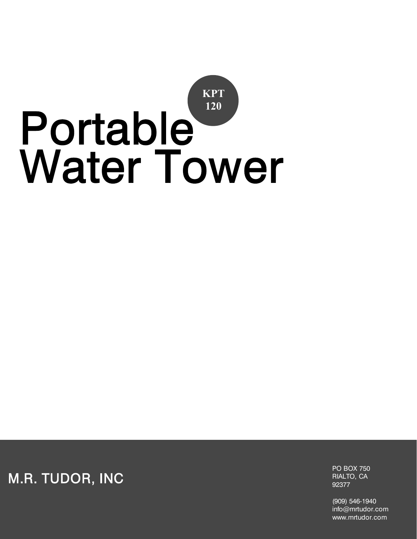## **KPT 120** Portable **Water Tower**

M.R. TUDOR, INC

PO BOX 750 RIALTO, CA 92377

(909) 546-1940 info@mrtudor.com www.mrtudor.com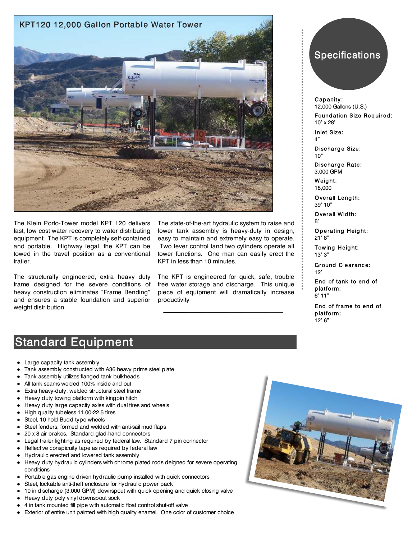

The Klein Porto-Tower model KPT 120 delivers fast, low cost water recovery to water distributing equipment. The KPT is completely self-contained and portable. Highway legal, the KPT can be towed in the travel position as a conventional trailer.

The structurally engineered, extra heavy duty frame designed for the severe conditions of heavy construction eliminates "Frame Bending" and ensures a stable foundation and superior weight distribution.

The state-of-the-art hydraulic system to raise and lower tank assembly is heavy-duty in design, easy to maintain and extremely easy to operate. Two lever control land two cylinders operate all tower functions. One man can easily erect the KPT in less than 10 minutes.

The KPT is engineered for quick, safe, trouble free water storage and discharge. This unique piece of equipment will dramatically increase productivity

## **Specifications**

Capacity: 12,000 Gallons (U.S.) **Foundation Size Required:** 10' x 28' **Inlet Size:** 4" Discharge Size: 10" Discharge Rate: 3,000 GPM Weight: 18,000 Overall Length: 39' 10"

Overall Width:  $\mathsf{R}^3$ 

**Operating Height:** 21' 8"

Towing Height: 13' 3"

Ground Clearance: 12'

End of tank to end of platform:  $6'$  11'

End of frame to end of platform: 12' 6"

## **Standard Equipment**

- Large capacity tank assembly
- Tank assembly constructed with A36 heavy prime steel plate
- Tank assembly utilizes flanged tank bulkheads
- All tank seams welded 100% inside and out
- Extra heavy-duty, welded structural steel frame
- Heavy duty towing platform with kingpin hitch
- Heavy duty large capacity axles with dual tires and wheels
- High quality tubeless 11.00-22.5 tires
- Steel, 10 hold Budd type wheels
- Steel fenders, formed and welded with anti-sail mud flaps
- $20 \times 8$  air brakes. Standard glad-hand connectors
- Legal trailer lighting as required by federal law. Standard 7 pin connector
- Reflective conspicuity tape as required by federal law
- Hydraulic erected and lowered tank assembly
- Heavy duty hydraulic cylinders with chrome plated rods deigned for severe operating conditions
- Portable gas engine driven hydraulic pump installed with quick connectors
- Steel, lockable anti-theft enclosure for hydraulic power pack
- 10 in discharge (3,000 GPM) downspout with quick opening and quick closing valve
- Heavy duty poly vinyl downspout sock
- 4 in tank mounted fill pipe with automatic float control shut-off valve
- Exterior of entire unit painted with high quality enamel. One color of customer choice